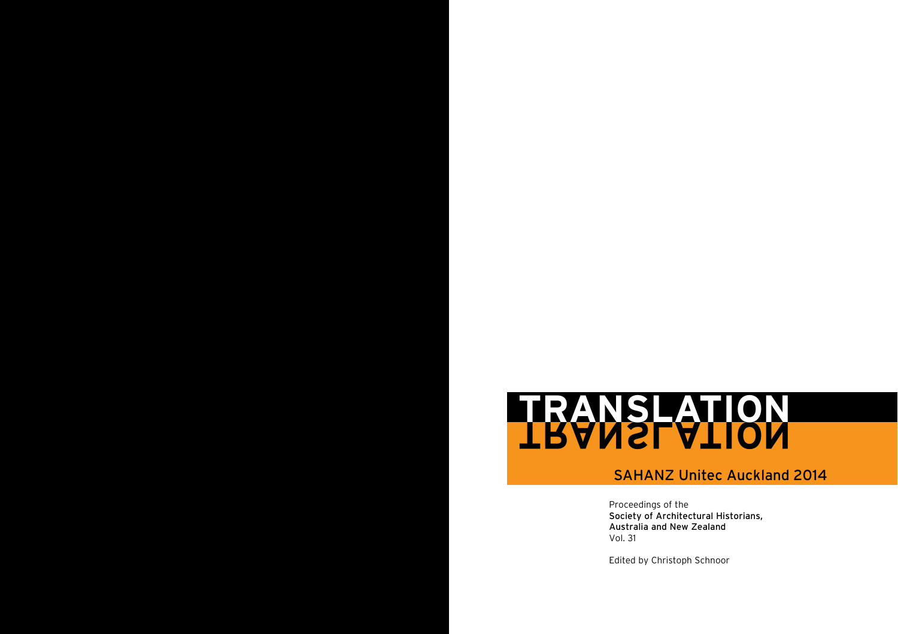# **TRANSLATION TRANSLATION**

# SAHANZ Unitec Auckland 2014

Proceedings of the<br>Society of Architectural Historians, Proceedings of the Australia and New Zealand Vol. 31

Edited by Christoph Schnoor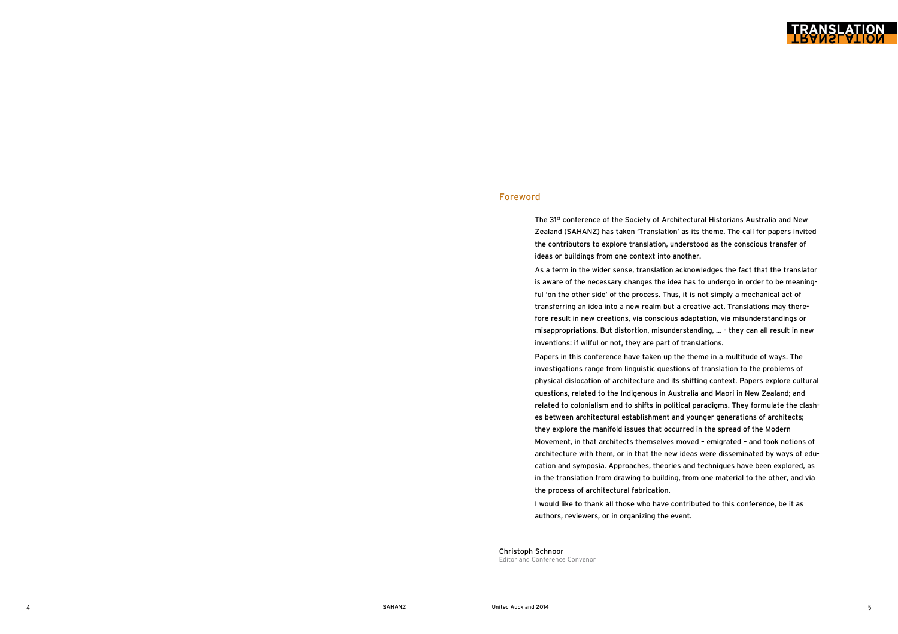# Foreword

The 31st conference of the Society of Architectural Historians Australia and New Zealand (SAHANZ) has taken 'Translation' as its theme. The call for papers invited the contributors to explore translation, understood as the conscious transfer of ideas or buildings from one context into another.

As a term in the wider sense, translation acknowledges the fact that the translator is aware of the necessary changes the idea has to undergo in order to be meaning ful 'on the other side' of the process. Thus, it is not simply a mechanical act of transferring an idea into a new realm but a creative act. Translations may there fore result in new creations, via conscious adaptation, via misunderstandings or misappropriations. But distortion, misunderstanding, … - they can all result in new inventions: if wilful or not, they are part of translations.

Papers in this conference have taken up the theme in a multitude of ways. The investigations range from linguistic questions of translation to the problems of physical dislocation of architecture and its shifting context. Papers explore cultural questions, related to the Indigenous in Australia and Maori in New Zealand; and related to colonialism and to shifts in political paradigms. They formulate the clash es between architectural establishment and younger generations of architects; they explore the manifold issues that occurred in the spread of the Modern Movement, in that architects themselves moved – emigrated – and took notions of architecture with them, or in that the new ideas were disseminated by ways of edu cation and symposia. Approaches, theories and techniques have been explored, as in the translation from drawing to building, from one material to the other, and via the process of architectural fabrication.

I would like to thank all those who have contributed to this conference, be it as authors, reviewers, or in organizing the event.

Christoph Schnoor Editor and Conference Convenor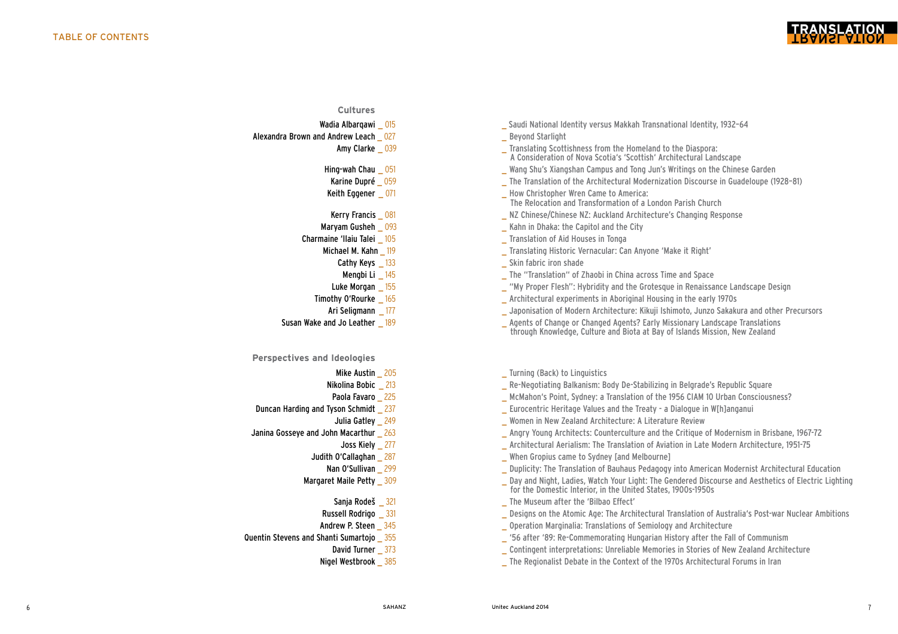

# **Cultures**

- 
- [Alexandra](http://www.unitec.ac.nz/epress/wp-content/uploads/2014/08/Beyond-Starlight-by-Alexandra-Brown-and-Andrew-Leach.pdf) Brown and Andrew Leach \_ 027 degree and Beyond Starlight
	-
	-
	-
	-
	-
	-
	- - -
			-
			-
		- -
	-

# **Perspectives and Ideologies**

- 
- 
- 
- -
- -
	- -
	- -
		-
	-
- -
	-
- Wadia Albarqawi \_ 015 \_ Saudi National Identity versus Makkah [Transnational](http://www.unitec.ac.nz/epress/wp-content/uploads/2014/08/Saudi-National-Identity-versus-Makkah-Transnational-Identity_1932%E2%80%9364-by-Wadia-Albarqawi.pdf) Identity, 1932–64
	-
	- Amy Clarke \_039 \_ Translating Scottishness from the Homeland to the Diaspora:
		- [A](http://www.unitec.ac.nz/epress/wp-content/uploads/2014/08/Translating-Scottishness-from-the-Homeland-to-the-Diaspora_A-Consideration-of-Nova-Scotia%E2%80%99s-%E2%80%98Scottish%E2%80%99-Architectural-Landscape-by-Amy-Clarke.pdf) Consideration of Nova Scotia's 'Scottish' Architectural Landscape
- Hing-wah Chau  $\frac{0.051}{0.051}$  and Mang Shu's [Xiangshan](http://www.unitec.ac.nz/epress/wp-content/uploads/2014/08/Wang-Shu%E2%80%99s-Xiangshan-Campus-and-Tong-Jun%E2%80%99s-Writings-on-the-Chinese-Garden-by-Hing-wah-Chau.pdf) Campus and Tong Jun's Writings on the Chinese Garden
- Karine Dupré 059 https://www.fileduce.org/magnetics.com/intervalue.org/magnetics.com/intervalue.org/magnetics.com/
- Keith Eggener \_ 071 \_ \_ \_ \_ \_ \_ \_ \_ \_ \_ \_ \_ How Christopher Wren Came to America:
	- [The](http://www.unitec.ac.nz/epress/wp-content/uploads/2014/08/How-Christopher-Wren-Came-to-America_The-Relocation-and-Transformation-of-a-London-Parish-Church-by-Keith-Eggener.pdf) Relocation and Transformation of a London Parish Church
- Kerry Francis and 081 and 081 and 081 NZ [Chinese/Chinese](http://www.unitec.ac.nz/epress/wp-content/uploads/2014/08/NZ-Chinese_Chinese-NZ_Auckland-Architectures-Changing-Response-by-Kerry-Francis.pdf) NZ: Auckland Architecture's Changing Response
- [Maryam](http://www.unitec.ac.nz/epress/wp-content/uploads/2014/08/Kahn-in-Dhaka_The-Capitol-and-the-City-by-Maryam-Gusheh.pdf) Gusheh \_ 093 \_ The Capitol and the City
- **Charmaine 'Ilaiu Talei**  $\frac{105}{2}$  **[Translation](http://www.unitec.ac.nz/epress/wp-content/uploads/2014/08/Translation-of-Aid-Houses-in-Tonga-by-Charmine-llaiu-Talei.pdf) of Aid Houses in Tonga** 
	- Michael M. Kahn  $\frac{119}{2}$  Michael M. Kahn  $\frac{119}{2}$  and  $\frac{119}{2}$  and  $\frac{1}{2}$  Translating Historic [Vernacular:](http://www.unitec.ac.nz/epress/wp-content/uploads/2014/08/Translating-Historic-Vernacular_Can-Anyone-%E2%80%98Make-it-Right%E2%80%99-by-Michael-M.-Khan.pdf) Can Anyone 'Make it Right'
		- Cathy Keys 133 **Skin fabric iron [shade](http://www.unitec.ac.nz/epress/wp-content/uploads/2014/08/Skin-Fabric-Iron-Shade-by-Cathy-Keys.pdf)** Skin fabric iron shade
		- **Mengbi Li**  $\begin{array}{c} 145 \\ \text{The} \end{array}$  The ["Translation"](http://www.unitec.ac.nz/epress/wp-content/uploads/2014/08/The-%E2%80%9CTranslation%E2%80%9D-of-Zhaobi-in-China-across-Time-and-Space-by-Mengbi-Li.pdf) of Zhaobi in China across Time and Space
	- Luke Morgan 155 **Exercise 20 Terms** 155 **Luke Morgan 155** and the Grotesque in [Renaissance](http://www.unitec.ac.nz/epress/wp-content/uploads/2014/08/%E2%80%9CMy-Proper-Flesh%E2%80%9D_Hybridity-and-the-Grotesque-in-Renaissance-Landscape-Design-by-Luke-Morgan.pdf) Landscape Design
	- **Timothy O'Rourke** 165 **we are above that the early 1970s** [Architectural](http://www.unitec.ac.nz/epress/wp-content/uploads/2014/08/Architectural-Experiments) experiments in Aboriginal Housing in the early 1970s
		- Ari Seligmann 177 **Ari Seligmann** 177 **Japonisation of Modern [Architecture:](http://www.unitec.ac.nz/epress/wp-content/uploads/2014/08/Japonisation-of-Modern-Architecture_Kikuji-Ishimoto-Junzo-Sakakura-and-Other-Precursors-by-Ari-Seligmann.pdf) Kikuji Ishimoto, Junzo Sakakura and other Precursors**
- Susan Wake and Jo Leather  $\frac{189}{2}$  and  $\frac{189}{2}$  and  $\frac{189}{2}$  are Agents of Change or Changed Agents? Early Missionary Landscape Translations  [through](http://www.unitec.ac.nz/epress/wp-content/uploads/2014/08/Agents-of-Change-or-Changed-Agents_Early-Missionary-Landscape-Translations-through...-by-Susan-Wake-and-Jo-Leather.pdf) Knowledge, Culture and Biota at Bay of Islands Mission, New Zealand
	- Mike Austin 205 and the Community Control of Turning (Back) to [Linguistics](http://www.unitec.ac.nz/epress/wp-content/uploads/2014/08/Turning-Back-to-Linguistics-by-Mike-Austin.pdf)
	- **Nikolina Bobic** 213 **[Re-Negotiating](http://www.unitec.ac.nz/epress/wp-content/uploads/2014/08/Re-Negotiating-Balkanism_Body-De-Stabilizing-in-Belgrade%E2%80%99s-Republic-Square-by-Nikolina-Bobic.pdf) Balkanism: Body De-Stabilizing in Belgrade's Republic Square Republic Square**
	- Paola Favaro 225 \_ McMahon's Point, Sydney: a Translation of the 1956 CIAM 10 Urban [Consciousness?](http://www.unitec.ac.nz/epress/wp-content/uploads/2014/08/McMahon%E2%80%99s-Point-Sydney_a-Translation-of-the-1956-CIAM-10-Urban-Consciousness-by-Paola-Favaro.pdf)
- Duncan Harding and Tyson Schmidt \_ 237 \_ Eurocentric Heritage Values and the Treaty a Dialogue in [W\[h\]anganui](http://www.unitec.ac.nz/epress/wp-content/uploads/2014/08/Eurocentric-Heritage-Values-and-the-Treaty_a-Dialogue-in-Whanganui-by-Duncan-Harding-and-Tyson-Schmidt.pdf)
	- Julia Gatley 249 **Women in New Zealand [Architecture:](http://www.unitec.ac.nz/epress/wp-content/uploads/2014/08/Women-in-New-Zealand-Architecture_A-Literature-Review-by-Julia-Gatley.pdf) A Literature Review**
- Janina Gosseye and John Macarthur 263 **Angry Young Architects: [Counterculture](http://www.unitec.ac.nz/epress/wp-content/uploads/2014/08/Angry-Young-Architects_Counterculture-and-the-Critique-of-Modernism-in-Brisbane-1967%E2%80%9372-by-Janina-Gosseye-and-John-Macarthur.pdf)** and the Critique of Modernism in Brisbane, 1967-72
	- Joss Kiely 277 **Architectural Aerialism:** The Translation of Aviation in Late Modern [Architecture,](http://www.unitec.ac.nz/epress/wp-content/uploads/2014/08/Architectural-Aerialism_The-Translation-of-Aviation-in-Late-Modern-Architecture-1951%E2%80%9375-by-Joss-Kiely1.pdf) 1951-75
	- Judith [O'Callaghan](http://www.unitec.ac.nz/epress/wp-content/uploads/2014/08/When-Gropius-came-to-Sydney-and-Melbourne-by-Judith-OCallaghan.pdf) 287 **When Gropius came to Sydney [and Melbourne]** 
		- Nan O'Sullivan 299 **. 299** . The Translation of Bauhaus Pedagogy into American Modernist [Architectural](http://www.unitec.ac.nz/epress/wp-content/uploads/2014/08/Duplicity-The-Translation-of-Bauhaus-Pedagogy-into-American_Modernist-Architectural-Education-by-Nan-OSullivan.pdf) Education
	- Margaret Maile Petty \_ 309 \_ \_ \_ Day and Night, Ladies, Watch Your Light: The Gendered Discourse and Aesthetics of Electric Lighting  [for](http://www.unitec.ac.nz/epress/wp-content/uploads/2014/08/Day-and-Night-Ladies-Watch-Your-Light...-by-Margaret-Maile-Petty.pdf) the Domestic Interior, in the United States, 1900s-1950s
		- Sanja Rodeš  $\frac{321}{2}$  and  $\frac{321}{2}$  and  $\frac{321}{2}$  and  $\frac{321}{2}$  and  $\frac{321}{2}$  and  $\frac{321}{2}$  and  $\frac{321}{2}$  and  $\frac{321}{2}$  and  $\frac{321}{2}$  and  $\frac{321}{2}$  and  $\frac{321}{2}$  and  $\frac{321}{2}$  and  $\frac{321}{2}$  and  $\$
		- Russell Rodrigo 331 **Exercice 231** Designs on the Atomic Age: The [Architectural](http://www.unitec.ac.nz/epress/wp-content/uploads/2014/08/Designs-on-the-Atomic-Age_The-Architectural-Translation-of-Australia%E2%80%99s-Post-war-Nuclear-Ambitions-by-Russell-Rodrigo.pdf) Translation of Australia's Post-war Nuclear Ambitions Andrew P. Steen 345 **Andrew P. Steen 345 Conserversity** Operation Marginalia: Translations of Semiology and [Architecture](http://www.unitec.ac.nz/epress/wp-content/uploads/2014/08/Operation-Marginalia_Translations-of-Semiology-and-Architecture-by-Andrew-P.-Steen.pdf)
- Quentin Stevens and Shanti Sumartojo 355 **1986** (139) (136 after '89: [Re-Commemorating](http://www.unitec.ac.nz/epress/wp-content/uploads/2014/08/%E2%80%9956-after-%E2%80%9989-Re-commemorating-Hungarian-History-after-the-Fall-of-Communism-by-Quentin-Stevens-and-Shanti-Sumartojo.pdf) Hungarian History after the Fall of Communism
	- David Turner  $\frac{373}{2}$  . Contingent [interpretations:](http://www.unitec.ac.nz/epress/wp-content/uploads/2014/08/Contingent-Interpretations_Unreliable-Memories-in-Stories-of-New-Zealand-Architecture-by-David-Turner.pdf) Unreliable Memories in Stories of New Zealand Architecture
	- Nigel Westbrook 385 **Nigel Westbrook 385** and the Regionalist Debate in the Context of the 1970s [Architectural](http://www.unitec.ac.nz/epress/wp-content/uploads/2014/08/The-Regionalist-Debate-in-the-Context-of-the-1970s-International-Architecture-Forums-in-Iran-by-Nigel-Westbrook.pdf) Forums in Iran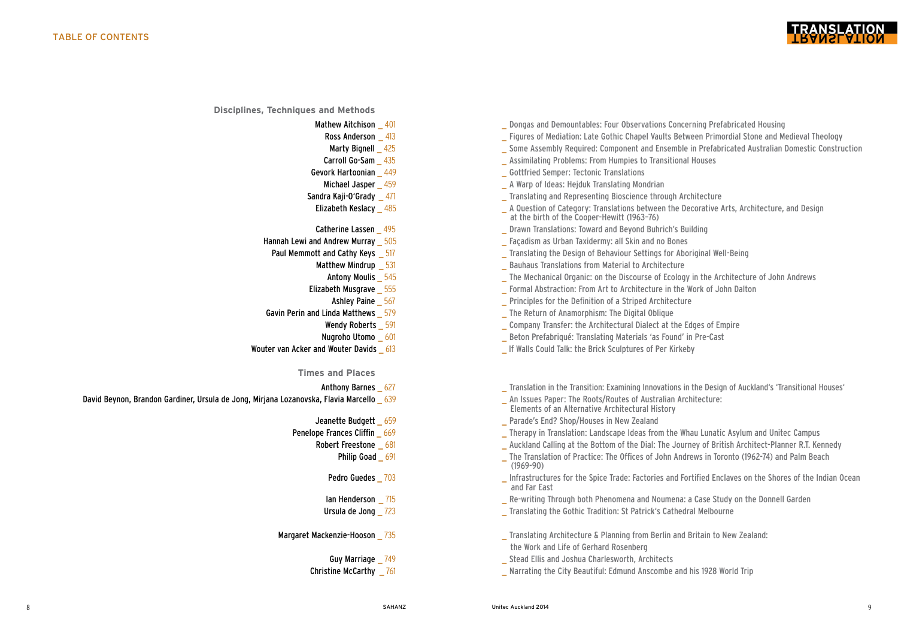

**Disciplines, Techniques and Methods**

- -
	-
- 
- 
- 
- 
- 
- 
- - -
		-
		-
- -
	-
- - **Times and Places**
		-
- David Beynon, Brandon Gardiner, Ursula de Jong, Mirjana Lozanovska, Flavia Marcello 639 https://www.bluesuu.com/<br>
An Issues Paper: The Roots/Routes of Australian Architectural History of Australian Architectural History an
	-
	- - -
			-
			-
			-
	- -
		-
- Mathew Aitchison 401 **All Property Concerning Author** Dongas and [Demountables:](http://www.unitec.ac.nz/epress/wp-content/uploads/2014/08/Dongas-and-Demountables_Four-Observations-Concerning-Prefabricated-Housing-by-Mathew-Aitchison.pdf) Four Observations Concerning Prefabricated Housing Ross Anderson \_413 \_ Figures of [Mediation:](http://www.unitec.ac.nz/epress/wp-content/uploads/2014/08/Figures-of-Mediation_Late-Gothic-Chapel-Vaults-Between-Primordial-Stone-and-Medieval-Theology-by-Ross-Anderson.pdf) Late Gothic Chapel Vaults Between Primordial Stone and Medieval Theology Marty Bignell 425 **Some Assembly Required: Component and Ensemble in [Prefabricated](http://www.unitec.ac.nz/epress/wp-content/uploads/2014/08/Some-Assembly-Required_Component-and-Ensemble-in-Prefabricated-Australian-Domestic-Construction-by-Marty-Bignell.pdf) Australian Domestic Construction** Carroll Go-Sam 435 **Carroll Go-Sam 435** [Assimilating](http://www.unitec.ac.nz/epress/wp-content/uploads/2014/08/Assimilating-Problems_From-Humpies-to-Transitional-Houses-by-Carroll-Go-Sam.pdf) Problems: From Humpies to Transitional Houses Gevork Hartoonian \_ 449 \_ Gottfried Semper: Tectonic [Translations](http://www.unitec.ac.nz/epress/wp-content/uploads/2014/08/Gottfried-Semper_Tectonic-Translations-by-Gevork-Hartoonian.pdf) **Michael Jasper**  459 **A Warp of Ideas: Hejduk [Translating](http://www.unitec.ac.nz/epress/wp-content/uploads/2014/08/A-Warp-of-Ideas_Hejduk-Translating-Mondrian-by-Michael-Jasper.pdf) Mondrian** Sandra Kaji-O'Grady 471 **Sandra Kaji-O'Grady** 471 **Translating and [Representing](http://www.unitec.ac.nz/epress/wp-content/uploads/2014/08/Translating-and-Representing-Bioscience-Through-Architecture-by-Sandra-Kaji-OGrady.pdf) Bioscience through Architecture** Elizabeth Keslacy 485 **A** A Question of Category: Translations between the Decorative Arts, Architecture, and Design  [at](http://www.unitec.ac.nz/epress/wp-content/uploads/2014/08/A-Question-of-Category_Translations-between-the-Decorative-Arts-Architecture-and-Design-at...-by-Elizabeth-Keslacy.pdf) the birth of the Cooper-Hewitt (1963–76) **Catherine Lassen** 495 **b.** Drawn [Translations:](http://www.unitec.ac.nz/epress/wp-content/uploads/2014/08/Drawn-Translations_Toward-and-Beyond-Buhrich%E2%80%99s-Building-by-Catherine-Lassen.pdf) Toward and Beyond Buhrich's Building
- Hannah Lewi and Andrew Murray 505 https://www.facadism as Urban [Taxidermy:](http://www.unitec.ac.nz/epress/wp-content/uploads/2014/08/Fa�adism-as-Urban-Taxidermy_All-Skin-and-no-Bones-by-Hannah-Lewi-and-Andrew-Murray.pdf) all Skin and no Bones
- Paul Memmott and Cathy Keys \_ 517 \_ [Translating](http://www.unitec.ac.nz/epress/wp-content/uploads/2014/08/Translating-the-Design-of-Behaviour-Settings-for-Aboriginal-Well-Being-by-Paul-Memmott-and-Cathy-Keys.pdf) the Design of Behaviour Settings for Aboriginal Well-Being
	- **Matthew Mindrup**   $\overline{531}$  **Bauhaus Translations from Material to [Architecture](http://www.unitec.ac.nz/epress/wp-content/uploads/2014/08/Bauhaus-Translations-from-Material-to-Architecture-by-Mathew-Mindrup.pdf)** 
		- Antony Moulis \_ 545 \_ The Mechanical Organic: on the Discourse of Ecology in the [Architecture](http://www.unitec.ac.nz/epress/wp-content/uploads/2014/08/The-Mechanical-Organic_On-the-Discourse-of-Ecology-in-the-Architecture-of-John-Andrews-by-Antony-Moulis.pdf) of John Andrews
	- Elizabeth Musgrave \_ 555 \_ Formal Abstraction: From Art to [Architecture](http://www.unitec.ac.nz/epress/wp-content/uploads/2014/08/Formal-Abstraction_From-Art-to-Architecture-in-the-Work-of-John-Dalton-by-Elizabeth-Musgrave.pdf) in the Work of John Dalton
		- Ashley Paine  $\frac{567}{2}$  Principles for the Definition of a Striped [Architecture](http://www.unitec.ac.nz/epress/wp-content/uploads/2014/08/Principles-for-the-Definition-of-a-Striped-Architecture-by-Ashley-Paine.pdf)
- Gavin Perin and Linda Matthews 579 **... The Return of [Anamorphism:](http://www.unitec.ac.nz/epress/wp-content/uploads/2014/08/The-Return-of-Anamorphism_The-Digital-Oblique-by-Gavin-Perin-and-Linda-Mathews.pdf)** The Digital Oblique
	- Wendy Roberts \_ 591 \_ \_ \_ \_ \_ \_ \_ \_ \_ Company Transfer: the [Architectural](http://www.unitec.ac.nz/epress/wp-content/uploads/2014/08/Company-Transfer_the-Architectural-Dialect-at-the-Edges-of-Empire-by-Wendy-Roberts.pdf) Dialect at the Edges of Empire
	- Nugroho Utomo 601 **bilang ang pandatang Beton [Prefabriqué:](http://www.unitec.ac.nz/epress/wp-content/uploads/2014/08/B%C3%A9ton-Prefabriqu%C3%A9_Translating-Materials-%E2%80%98as-Found%E2%80%99-in-Pre-Cast-by-Nugroho-Utomo.pdf)** Translating Materials 'as Found' in Pre-Cast
- Wouter van Acker and Wouter Davids 613 **If Walls Could Talk: the Brick [Sculptures](http://www.unitec.ac.nz/epress/wp-content/uploads/2014/08/If-Walls-Could-Talk_the-Brick-Sculptures-of-Per-Kirkeby-by-Wouter-van-Acker-and-Wouter-Davidts.pdf) of Per Kirkeby**

Anthony Barnes 627 **Anthony Barnes 627 Micropole 2018 Limitation** in the Transition: Examining Innovations in the Design of Auckland's 'Transitional Houses'

- 
- 
- Jeanette Budgett \_ 659 \_ Parade's End? [Shop/Houses](http://www.unitec.ac.nz/epress/wp-content/uploads/2014/08/Parade%E2%80%99s-End_Shop_Houses-in-New-Zealand-by-Jeanette-Budget.pdf) in New Zealand
- **Penelope Frances Cliffin \_ 669 \_ Therapy in [Translation:](http://www.unitec.ac.nz/epress/wp-content/uploads/2014/08/Therapy-in-Translation_Landscape-Ideas-from-the-Whau-Lunatic-Asylum-and-Unitec-Campus-by-Penelope-Frances-Cliffin.pdf) Landscape Ideas from the Whau Lunatic Asylum and Unitec Campus \_ Therapy in Translation: Landscape Ideas from the Whau Lunatic Asylum and Unitec Campus** 
	- Robert Freestone 681 **Auckland Calling at the Bottom of the Dial:** The Journey of British [Architect-Planner](http://www.unitec.ac.nz/epress/wp-content/uploads/2014/08/Auckland-Calling-at-the-Bottom-of-the-Dial_The-Journey-of-British-Architect-Planner-R.-T.-Kennedy-by-Robert-Freestone.pdf) R.T. Kennedy
		- Philip Goad 691 \_ The Translation of Practice: The Offices of John Andrews in Toronto (1962-74) and Palm Beach  [\(1969-90\)](http://www.unitec.ac.nz/epress/wp-content/uploads/2014/08/The-Translation-of-Practice_The-Offices-of-John-Andrews-in-Toronto-1962%E2%80%9374-and-Palm-Beach-1969%E2%80%9390-by-Philip-Goad.pdf)
		- Pedro Guedes \_ 703 \_ [Infrastructures](http://www.unitec.ac.nz/epress/wp-content/uploads/2014/08/Infrastructures-for-the-Spice-Trade_Factories-and-Fortified-Enclaves-on-the-Shores-of-the-Indian-Ocean-and-Far-East-by-Pedro-Guedes.pdf) for the Spice Trade: Factories and Fortified Enclaves on the Shores of the Indian Ocean and Far East
		- Ian Henderson  $\frac{715}{10}$  Re-writing Through both [Phenomena](http://www.unitec.ac.nz/epress/wp-content/uploads/2014/08/Re-writing-through-both-Phenomena-and-Noumena_A-Case-Study-on-the-%E2%80%9CDonnell-Garden%E2%80%9D-by-Ian-Henderson.pdf) and Noumena: a Case Study on the Donnell Garden
	- Ursula de Jong  $\frac{723}{100}$  [Translating](http://www.unitec.ac.nz/epress/wp-content/uploads/2014/08/Translating-the-Gothic-Tradition_St-Patrick%E2%80%99s-Cathedral-Melbourne-by-Ursula-de-Jong.pdf) the Gothic Tradition: St Patrick's Cathedral Melbourne
- Margaret Mackenzie-Hooson 735 **and Translating Architecture & Planning from Berlin and Britain to New Zealand:**  [the](http://www.unitec.ac.nz/epress/wp-content/uploads/2014/08/Translating-Architecture-and-Planning-from-Berlin-and-Britain-to-New-Zealand_The-Work-and-Life-of-Gerhard-Rosenberg-by-Margaret-Mackenzie-Hooson.pdf) Work and Life of Gerhard Rosenberg
	- Guy Marriage  $\frac{749}{ }$  Stead Ellis and Joshua [Charlesworth,](http://www.unitec.ac.nz/epress/wp-content/uploads/2014/08/Stead-Ellis-and-Joshua-Charlesworth-Architects-by-Guy-Marriage.pdf) Architects
	- Christine McCarthy \_ 761 \_ Narrating the City Beautiful: Edmund [Anscombe](http://www.unitec.ac.nz/epress/wp-content/uploads/2014/08/Narrating-the-City-Beautiful_Edmund-Anscombe-and-His-1928-World-Trip-by-Christine-McCarthy.pdf) and his 1928 World Trip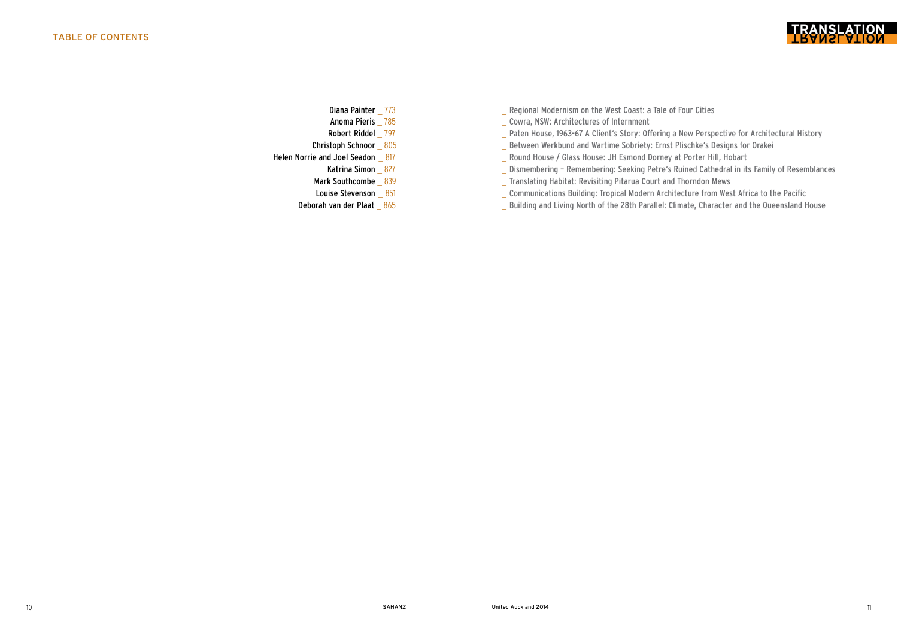

- 
- 
- 
- 
- -
	-
	-
	-
- Diana Painter \_ 773 \_ \_ \_ \_ \_ Regional [Modernism](http://www.unitec.ac.nz/epress/wp-content/uploads/2014/08/Regional-Modernism-on-the-West-Coast_A-Tale-of-Four-Cities-by-Diana-Painter.pdf) on the West Coast: a Tale of Four Cities
- Anoma Pieris \_ 785 \_ Cowra, NSW: [Architectures](http://www.unitec.ac.nz/epress/wp-content/uploads/2014/08/Cowra-NSW-Architectures-of-Internment-by-Anoma-Pieris.pdf) of Internment
- Robert Riddel \_ 797 \_ Paten House, 1963-67 A Client's Story: Offering a New Perspective for [Architectural](http://www.unitec.ac.nz/epress/wp-content/uploads/2014/08/Paten-House-1963%E2%80%9367.-A-Client%E2%80%99s-Story_Offering-a-New-Perspective-for-Architectural-History-by-Robert-Riddel.pdf) History
- Christoph Schnoor \_805 \_ Between Werkbund and Wartime Sobriety: Ernst [Plischke's](http://www.unitec.ac.nz/epress/wp-content/uploads/2014/08/Between-Werkbund-and-Wartime-Sobriety_Ernst-Plischke%E2%80%99s-Multi%E2%80%93Units-for-Orakei-by-Christoph-Schnoor.pdf) Designs for Orakei
- Helen Norrie and Joel [Seadon](http://www.unitec.ac.nz/epress/wp-content/uploads/2014/08/Round-House-Glass-House_JH-Esmond-Dorney-at-Porter-Hill-Hobart-by-Helen-Norrie-and-Joel-Seadon.pdf) \_ 817 \_ Round House / Glass House: JH Esmond Dorney at Porter Hill, Hobart
	- Katrina Simon \_ 827 \_ \_ \_ Dismembering [Remembering:](http://www.unitec.ac.nz/epress/wp-content/uploads/2014/08/Dismembering-%E2%80%93-Remembering_Seeking-Petre%E2%80%99s-Ruined-Cathedral-in-its-Family-of-Resemblances-by-Katrina-Simon.pdf) Seeking Petre's Ruined Cathedral in its Family of Resemblances
	- Mark [Southcombe](http://www.unitec.ac.nz/epress/wp-content/uploads/2014/08/Translating-Habitat_Revisiting-Pitarua-Court-Thorndon-Mews-by-Mark-Southcombe.pdf) 839 \_ Translating Habitat: Revisiting Pitarua Court and Thorndon Mews
	- Louise Stevenson \_ 851 \_ \_ \_ \_ [Communications](http://www.unitec.ac.nz/epress/wp-content/uploads/2014/08/Communications-Building_Tropical-Modern-Architecture-from-West-Africa-to-the-Pacific-by-Louise-Stevenson.pdf) Building: Tropical Modern Architecture from West Africa to the Pacific
	- Deborah van der Plaat 865 **building and Living North of the 28th Parallel: Climate, Character and the [Queensland](http://www.unitec.ac.nz/epress/wp-content/uploads/2014/08/Building-and-Living-North-of-the-28th-Parallel_Climate-Character-and-the-Queensland-House-by-Deborah-van-der-Plaat.pdf) House**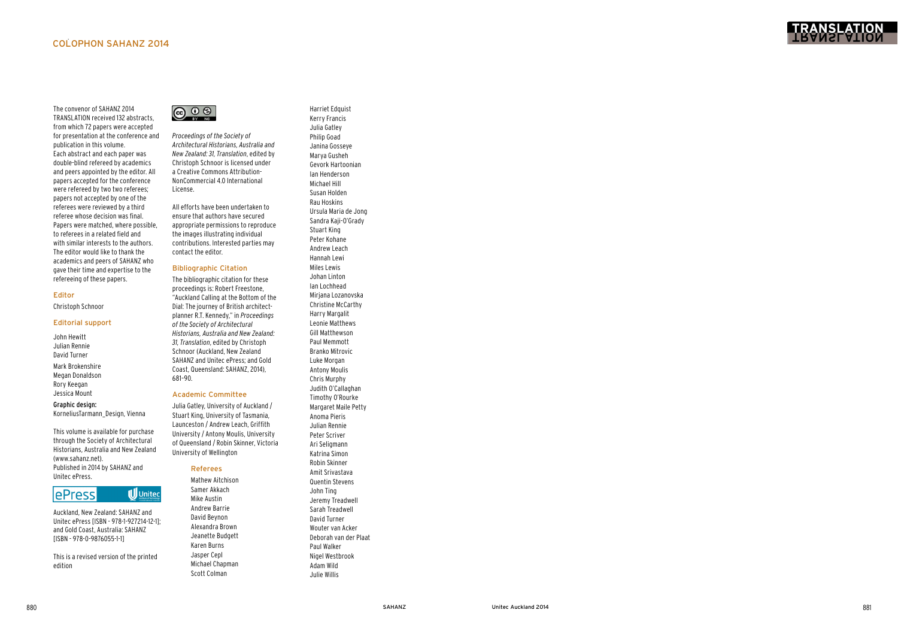

The convenor of SAHANZ 2014 TRANSLATION received 132 abstracts, from which 72 papers were accepted for presentation at the conference and publication in this volume. Each abstract and each paper was double-blind refereed by academics and peers appointed by the editor. All papers accepted for the conference were refereed by two two referees; papers not accepted by one of the referees were reviewed by a third referee whose decision was final. Papers were matched, where possible, to referees in a related field and with similar interests to the authors. The editor would like to thank the academics and peers of SAHANZ who gave their time and expertise to the refereeing of these papers.

### Editor

Christoph Schnoor

#### Editorial support

John Hewitt Julian Rennie David Turner

Mark Brokenshire Megan Donaldson Rory Keegan Jessica Mount

#### Graphic design:

KorneliusTarmann\_Design, Vienna

This volume is available for purchase through the Society of Architectural Historians, Australia and New Zealand (www.sahanz.net). Published in 2014 by SAHANZ and Unitec ePress.



Auckland, New Zealand: SAHANZ and Unitec ePress [ISBN - 978-1-927214-12-1]; and Gold Coast, Australia: SAHANZ [ISBN - 978-0-9876055-1-1]

This is a revised version of the printed edition



*Proceedings of the Society of Architectural Historians, Australia and New Zealand: 31, Translation*, edited by Christoph Schnoor is licensed under a Creative Commons Attribution-NonCommercial 4.0 International License.

All efforts have been undertaken to ensure that authors have secured appropriate permissions to reproduce the images illustrating individual contributions. Interested parties may contact the editor.

#### Bibliographic Citation

The bibliographic citation for these proceedings is: Robert Freestone, "Auckland Calling at the Bottom of the Dial: The journey of British architectplanner R.T. Kennedy," in *Proceedings of the Society of Architectural Historians, Australia and New Zealand: 31, Translation*, edited by Christoph Schnoor (Auckland, New Zealand SAHANZ and Unitec ePress; and Gold Coast, Queensland: SAHANZ, 2014), 681–90.

## Academic Committee

Julia Gatley, University of Auckland / Stuart King, University of Tasmania, Launceston / Andrew Leach, Griffith University / Antony Moulis, University of Queensland / Robin Skinner, Victoria University of Wellington

# Referees

Mathew Aitchison Samer Akkach Mike Austin Andrew Barrie David Beynon Alexandra Brown Jeanette Budgett Karen Burns Jasper Cepl Michael Chapman Scott Colman

Harriet Edquist Kerry Francis Julia Gatley Philip Goad Janina Gosseye Marya Gusheh Gevork Hartoonian Ian Henderson Michael Hill Susan Holden Rau Hoskins Ursula Maria de Jong Sandra Kaji-O'Grady Stuart King Peter Kohane Andrew Leach Hannah Lewi Miles Lewis Johan Linton Ian Lochhead Mirjana Lozanovska Christine McCarthy Harry Margalit Leonie Matthews Gill Matthewson Paul Memmott Branko Mitrovic Luke Morgan Antony Moulis Chris Murphy Judith O'Callaghan Timothy O'Rourke Margaret Maile Petty Anoma Pieris Julian Rennie Peter Scriver Ari Seligmann Katrina Simon Robin Skinner Amit Srivastava Quentin Stevens John Ting Jeremy Treadwell Sarah Treadwell David Turner Wouter van Acker Deborah van der Plaat Paul Walker Nigel Westbrook Adam Wild

Julie Willis